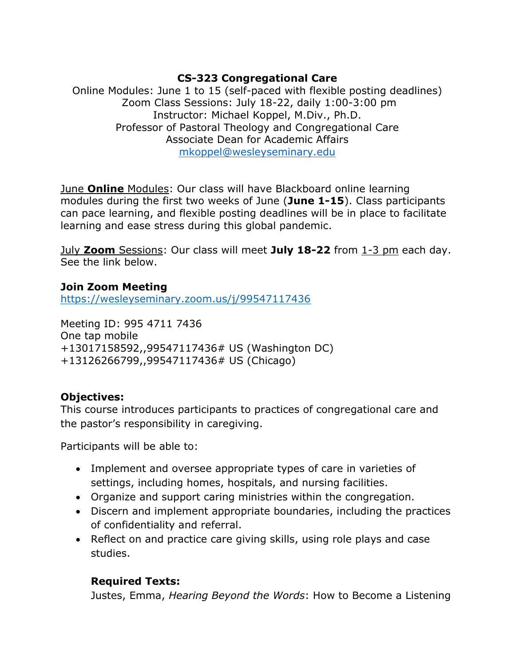## **CS-323 Congregational Care**

Online Modules: June 1 to 15 (self-paced with flexible posting deadlines) Zoom Class Sessions: July 18-22, daily 1:00-3:00 pm Instructor: Michael Koppel, M.Div., Ph.D. Professor of Pastoral Theology and Congregational Care Associate Dean for Academic Affairs [mkoppel@wesleyseminary.edu](mailto:mkoppel@wesleyseminary.edu)

June **Online** Modules: Our class will have Blackboard online learning modules during the first two weeks of June (**June 1-15**). Class participants can pace learning, and flexible posting deadlines will be in place to facilitate learning and ease stress during this global pandemic.

July **Zoom** Sessions: Our class will meet **July 18-22** from 1-3 pm each day. See the link below.

## **Join Zoom Meeting**

<https://wesleyseminary.zoom.us/j/99547117436>

Meeting ID: 995 4711 7436 One tap mobile +13017158592,,99547117436# US (Washington DC) +13126266799,,99547117436# US (Chicago)

## **Objectives:**

This course introduces participants to practices of congregational care and the pastor's responsibility in caregiving.

Participants will be able to:

- Implement and oversee appropriate types of care in varieties of settings, including homes, hospitals, and nursing facilities.
- Organize and support caring ministries within the congregation.
- Discern and implement appropriate boundaries, including the practices of confidentiality and referral.
- Reflect on and practice care giving skills, using role plays and case studies.

# **Required Texts:**

Justes, Emma, *Hearing Beyond the Words*: How to Become a Listening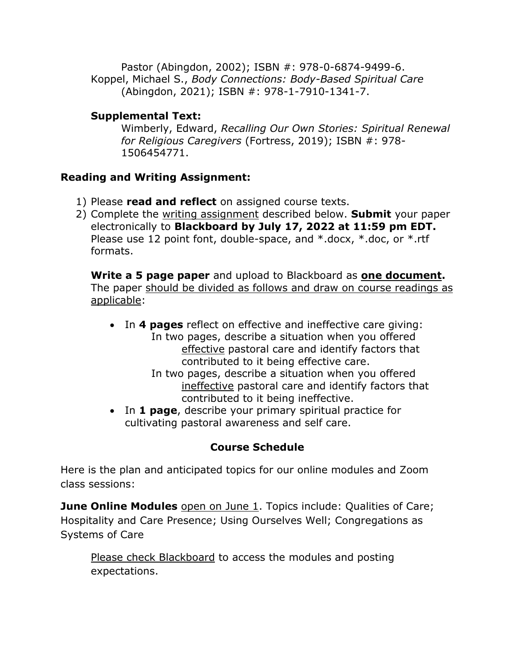Pastor (Abingdon, 2002); ISBN #: 978-0-6874-9499-6. Koppel, Michael S., *Body Connections: Body-Based Spiritual Care* (Abingdon, 2021); ISBN #: 978-1-7910-1341-7.

## **Supplemental Text:**

Wimberly, Edward, *Recalling Our Own Stories: Spiritual Renewal for Religious Caregivers* (Fortress, 2019); ISBN #: 978- 1506454771.

## **Reading and Writing Assignment:**

- 1) Please **read and reflect** on assigned course texts.
- 2) Complete the writing assignment described below. **Submit** your paper electronically to **Blackboard by July 17, 2022 at 11:59 pm EDT.** Please use 12 point font, double-space, and \*.docx, \*.doc, or \*.rtf formats.

**Write a 5 page paper** and upload to Blackboard as **one document.** The paper should be divided as follows and draw on course readings as applicable:

- In **4 pages** reflect on effective and ineffective care giving: In two pages, describe a situation when you offered effective pastoral care and identify factors that contributed to it being effective care.
	- In two pages, describe a situation when you offered ineffective pastoral care and identify factors that contributed to it being ineffective.
- In **1 page**, describe your primary spiritual practice for cultivating pastoral awareness and self care.

# **Course Schedule**

Here is the plan and anticipated topics for our online modules and Zoom class sessions:

**June Online Modules** open on June 1. Topics include: Qualities of Care; Hospitality and Care Presence; Using Ourselves Well; Congregations as Systems of Care

Please check Blackboard to access the modules and posting expectations.